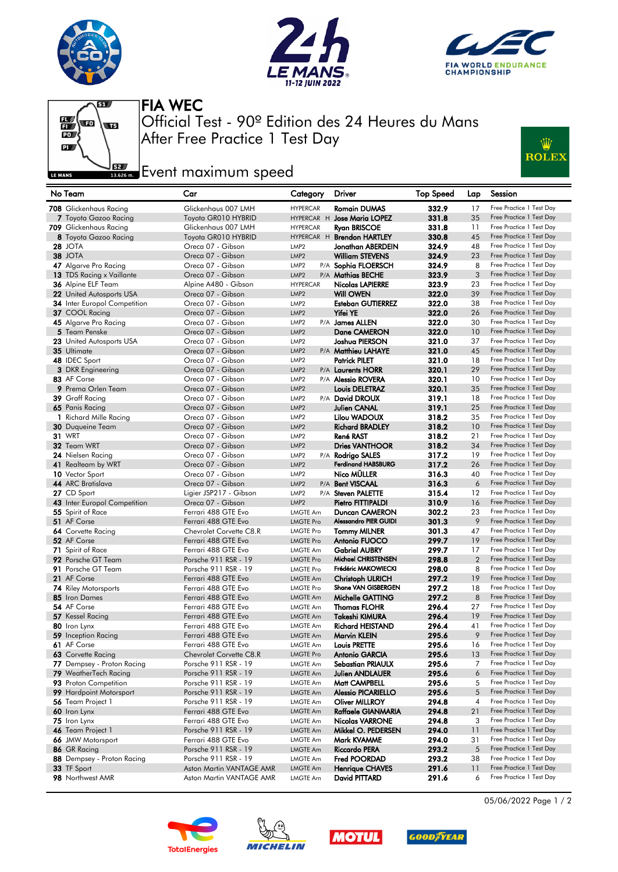







After Free Practice 1 Test Day Official Test - 90º Edition des 24 Heures du Mans FIA WEC

## **Example 2**<br>**Example 2** Fvent maximum speed



| No Team                                 | Car                                        | Category                             | Driver                                      | <b>Top Speed</b> | Lap.           | Session                                              |
|-----------------------------------------|--------------------------------------------|--------------------------------------|---------------------------------------------|------------------|----------------|------------------------------------------------------|
| 708 Glickenhaus Racing                  | Glickenhaus 007 LMH                        | <b>HYPERCAR</b>                      | Romain DUMAS                                | 332.9            | 17             | Free Practice 1 Test Day                             |
| 7 Toyota Gazoo Racing                   | Toyota GR010 HYBRID                        |                                      | HYPERCAR H Jose Maria LOPEZ                 | 331.8            | 35             | Free Practice 1 Test Day                             |
| <b>709</b> Glickenhaus Racing           | Glickenhaus 007 LMH                        | <b>HYPERCAR</b>                      | Ryan BRISCOE                                | 331.8            | 11             | Free Practice 1 Test Day                             |
| 8 Toyota Gazoo Racing                   | Toyota GR010 HYBRID                        |                                      | HYPERCAR H Brendon HARTLEY                  | 330.8            | 45             | Free Practice 1 Test Day                             |
| <b>28 JOTA</b>                          | Oreca 07 - Gibson                          | LMP <sub>2</sub>                     | Jonathan ABERDEIN                           | 324.9            | 48             | Free Practice 1 Test Day                             |
| 38 JOTA                                 | Oreca 07 - Gibson                          | LMP <sub>2</sub>                     | <b>William STEVENS</b>                      | 324.9            | 23             | Free Practice 1 Test Day                             |
| 47 Algarve Pro Racing                   | Oreca 07 - Gibson                          | LMP <sub>2</sub>                     | P/A Sophia FLOERSCH                         | 324.9            | 8              | Free Practice 1 Test Day                             |
| 13 TDS Racing x Vaillante               | Oreca 07 - Gibson                          | LMP <sub>2</sub>                     | P/A Mathias BECHE                           | 323.9            | 3              | Free Practice 1 Test Day                             |
| <b>36</b> Alpine ELF Team               | Alpine A480 - Gibson                       | <b>HYPERCAR</b>                      | <b>Nicolas LAPIERRE</b>                     | 323.9            | 23             | Free Practice 1 Test Day                             |
| 22 United Autosports USA                | Oreca 07 - Gibson                          | LMP <sub>2</sub>                     | <b>Will OWEN</b>                            | 322.0            | 39             | Free Practice 1 Test Day                             |
| <b>34</b> Inter Europol Competition     | Oreca 07 - Gibson                          | LMP <sub>2</sub>                     | <b>Esteban GUTIERREZ</b>                    | 322.0            | 38             | Free Practice 1 Test Day                             |
| 37 COOL Racing                          | Oreca 07 - Gibson                          | LMP <sub>2</sub>                     | <b>Yifei YE</b>                             | 322.0            | 26             | Free Practice 1 Test Day                             |
| 45 Algarve Pro Racing                   | Oreca 07 - Gibson                          | LMP <sub>2</sub>                     | P/A James ALLEN                             | 322.0            | 30             | Free Practice 1 Test Day                             |
| 5 Team Penske                           | Oreca 07 - Gibson                          | LMP <sub>2</sub>                     | <b>Dane CAMERON</b>                         | 322.0            | 10             | Free Practice 1 Test Day                             |
| 23 United Autosports USA                | Oreca 07 - Gibson                          | LMP <sub>2</sub>                     | Joshua PIERSON                              | 321.0            | 37             | Free Practice 1 Test Day                             |
| 35 Ultimate                             | Oreca 07 - Gibson                          | LMP <sub>2</sub>                     | P/A Matthieu LAHAYE                         | 321.0            | 45             | Free Practice 1 Test Day<br>Free Practice 1 Test Day |
| 48 IDEC Sport                           | Oreca 07 - Gibson                          | LMP <sub>2</sub><br>LMP <sub>2</sub> | <b>Patrick PILET</b>                        | 321.0            | 18<br>29       | Free Practice 1 Test Day                             |
| <b>3</b> DKR Engineering<br>83 AF Corse | Oreca 07 - Gibson<br>Oreca 07 - Gibson     | LMP <sub>2</sub>                     | P/A Laurents HORR                           | 320.1<br>320.1   | 10             | Free Practice 1 Test Day                             |
| 9 Prema Orlen Team                      | Oreca 07 - Gibson                          | LMP <sub>2</sub>                     | P/A <b>Alessio ROVERA</b><br>Louis DELETRAZ | 320.1            | 35             | Free Practice 1 Test Day                             |
| 39 Graff Racing                         | Oreca 07 - Gibson                          | LMP <sub>2</sub>                     | P/A David DROUX                             | 319.1            | 18             | Free Practice 1 Test Day                             |
| 65 Panis Racing                         | Oreca 07 - Gibson                          | LMP <sub>2</sub>                     | Julien CANAL                                | 319.1            | 25             | Free Practice 1 Test Day                             |
| 1 Richard Mille Racing                  | Oreca 07 - Gibson                          | LMP <sub>2</sub>                     | Lilou WADOUX                                | 318.2            | 35             | Free Practice 1 Test Day                             |
| <b>30</b> Duqueine Team                 | Oreca 07 - Gibson                          | LMP <sub>2</sub>                     | <b>Richard BRADLEY</b>                      | 318.2            | 10             | Free Practice 1 Test Day                             |
| <b>31 WRT</b>                           | Oreca 07 - Gibson                          | LMP <sub>2</sub>                     | René RAST                                   | 318.2            | 21             | Free Practice 1 Test Day                             |
| 32 Team WRT                             | Oreca 07 - Gibson                          | LMP <sub>2</sub>                     | <b>Dries VANTHOOR</b>                       | 318.2            | 34             | Free Practice 1 Test Day                             |
| 24 Nielsen Racing                       | Oreca 07 - Gibson                          | LMP <sub>2</sub>                     | P/A Rodrigo SALES                           | 317.2            | 19             | Free Practice 1 Test Day                             |
| 41 Realteam by WRT                      | Oreca 07 - Gibson                          | LMP <sub>2</sub>                     | Ferdinand HABSBURG                          | 317.2            | 26             | Free Practice 1 Test Day                             |
| 10 Vector Sport                         | Oreca 07 - Gibson                          | LMP <sub>2</sub>                     | Nico MÜLLER                                 | 316.3            | 40             | Free Practice 1 Test Day                             |
| 44 ARC Bratislava                       | Oreca 07 - Gibson                          | LMP <sub>2</sub>                     | P/A Bent VISCAAL                            | 316.3            | 6              | Free Practice 1 Test Day                             |
| 27 CD Sport                             | Ligier JSP217 - Gibson                     | LMP <sub>2</sub>                     | P/A Steven PALETTE                          | 315.4            | 12             | Free Practice 1 Test Day                             |
| 43 Inter Europol Competition            | Oreca 07 - Gibson                          | LMP <sub>2</sub>                     | Pietro FITTIPALDI                           | 310.9            | 16             | Free Practice 1 Test Day                             |
| 55 Spirit of Race                       | Ferrari 488 GTE Evo                        | LMGTE Am                             | Duncan CAMERON                              | 302.2            | 23             | Free Practice 1 Test Day                             |
| 51 AF Corse                             | Ferrari 488 GTE Evo                        | <b>LMGTE Pro</b>                     | <b>Alessandro PIER GUIDI</b>                | 301.3            | 9              | Free Practice 1 Test Day                             |
| <b>64</b> Corvette Racing               | Chevrolet Corvette C8.R                    | LMGTE Pro                            | <b>Tommy MILNER</b>                         | 301.3            | 47             | Free Practice 1 Test Day                             |
| 52 AF Corse                             | Ferrari 488 GTE Evo                        | <b>LMGTE Pro</b>                     | <b>Antonio FUOCO</b>                        | 299.7            | 19             | Free Practice 1 Test Day                             |
| 71 Spirit of Race                       | Ferrari 488 GTE Evo                        | <b>LMGTE Am</b>                      | <b>Gabriel AUBRY</b>                        | 299.7            | 17             | Free Practice 1 Test Day                             |
| 92 Porsche GT Team                      | Porsche 911 RSR - 19                       | <b>LMGTE Pro</b>                     | Michael CHRISTENSEN                         | 298.8            | $\overline{2}$ | Free Practice 1 Test Day                             |
| 91 Porsche GT Team                      | Porsche 911 RSR - 19                       | <b>LMGTE Pro</b>                     | Frédéric MAKOWIECKI                         | 298.0            | 8              | Free Practice 1 Test Day                             |
| 21 AF Corse                             | Ferrari 488 GTE Evo                        | <b>LMGTE Am</b>                      | <b>Christoph ULRICH</b>                     | 297.2            | 19             | Free Practice 1 Test Day                             |
| <b>74</b> Riley Motorsports             | Ferrari 488 GTE Evo                        | <b>LMGTE Pro</b>                     | Shane VAN GISBERGEN                         | 297.2            | 18             | Free Practice 1 Test Day<br>Free Practice 1 Test Day |
| 85 Iron Dames<br>54 AF Corse            | Ferrari 488 GTE Evo<br>Ferrari 488 GTE Evo | <b>LMGTE Am</b>                      | Michelle GATTING<br><b>Thomas FLOHR</b>     | 297.2<br>296.4   | 8<br>27        | Free Practice 1 Test Day                             |
| 57 Kessel Racing                        | Ferrari 488 GTE Evo                        | <b>LMGTE Am</b><br><b>LMGTE Am</b>   | Takeshi KIMURA                              | 296.4            | 19             | Free Practice 1 Test Day                             |
| 80 Iron Lynx                            | Ferrari 488 GTE Evo                        | <b>LMGTE Am</b>                      | Richard HEISTAND                            | 296.4            | 41             | Free Practice 1 Test Day                             |
| <b>59</b> Inception Racing              | Ferrari 488 GTE Evo                        | <b>LMGTE Am</b>                      | Marvin KLEIN                                | 295.6            | 9              | Free Practice 1 Test Day                             |
| 61 AF Corse                             | Ferrari 488 GTE Evo                        | <b>LMGTE Am</b>                      | Louis PRETTE                                | 295.6            | 16             | Free Practice 1 Test Day                             |
| 63 Corvette Racing                      | Chevrolet Corvette C8.R                    | LMGTE Pro                            | Antonio GARCIA                              | 295.6            | 13             | Free Practice 1 Test Day                             |
| 77 Dempsey - Proton Racing              | Porsche 911 RSR - 19                       | LMGTE Am                             | Sebastian PRIAULX                           | 295.6            | 7              | Free Practice 1 Test Day                             |
| 79 WeatherTech Racing                   | Porsche 911 RSR - 19                       | <b>LMGTE Am</b>                      | Julien ANDLAUER                             | 295.6            | 6              | Free Practice 1 Test Day                             |
| 93 Proton Competition                   | Porsche 911 RSR - 19                       | LMGTE Am                             | Matt CAMPBELL                               | 295.6            | 5              | Free Practice 1 Test Day                             |
| <b>99</b> Hardpoint Motorsport          | Porsche 911 RSR - 19                       | <b>LMGTE Am</b>                      | <b>Alessio PICARIELLO</b>                   | 295.6            | 5              | Free Practice 1 Test Day                             |
| 56 Team Project 1                       | Porsche 911 RSR - 19                       | LMGTE Am                             | Oliver MILLROY                              | 294.8            | 4              | Free Practice 1 Test Day                             |
| 60 Iron Lynx                            | Ferrari 488 GTE Evo                        | LMGTE Am                             | Raffaele GIANMARIA                          | 294.8            | 21             | Free Practice 1 Test Day                             |
| 75 Iron Lynx                            | Ferrari 488 GTE Evo                        | LMGTE Am                             | Nicolas VARRONE                             | 294.8            | 3              | Free Practice 1 Test Day                             |
| 46 Team Project 1                       | Porsche 911 RSR - 19                       | LMGTE Am                             | Mikkel O. PEDERSEN                          | 294.0            | 11             | Free Practice 1 Test Day                             |
| 66 JMW Motorsport                       | Ferrari 488 GTE Evo                        | <b>LMGTE Am</b>                      | Mark KVAMME                                 | 294.0            | 31             | Free Practice 1 Test Day                             |
| 86 GR Racing                            | Porsche 911 RSR - 19                       | <b>LMGTE Am</b>                      | <b>Riccardo PERA</b>                        | 293.2            | 5              | Free Practice 1 Test Day                             |
| 88 Dempsey - Proton Racing              | Porsche 911 RSR - 19                       | LMGTE Am                             | Fred POORDAD                                | 293.2            | 38             | Free Practice 1 Test Day                             |
| 33 TF Sport                             | Aston Martin VANTAGE AMR                   | <b>LMGTE Am</b>                      | Henrique CHAVES                             | 291.6            | 11             | Free Practice 1 Test Day                             |
| 98 Northwest AMR                        | Aston Martin VANTAGE AMR                   | LMGTE Am                             | David PITTARD                               | 291.6            | 6              | Free Practice 1 Test Day                             |









05/06/2022 Page 1 / 2